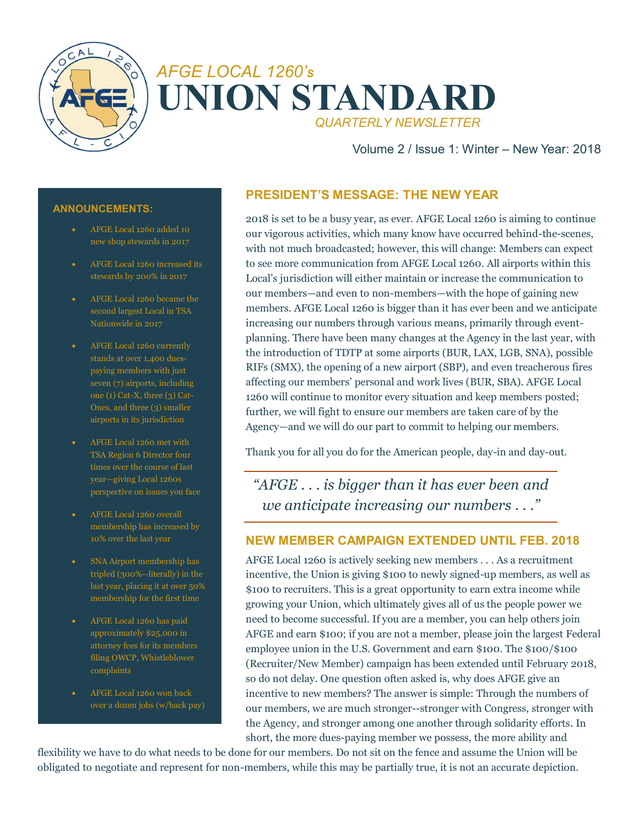



Volume 2 / Issue 1: Winter – New Year: 2018

#### **ANNOUNCEMENTS:**

- AFGE Local 1260 added 10
- AFGE Local 1260 increased its stewards by 200% in 2017
- AFGE Local 1260 became the second largest Local in TSA Nationwide in 2017
- AFGE Local 1260 currently stands at over 1,400 duespaying members with just seven (7) airports, including one (1) Cat-X, three (3) Cat-Ones, and three (3) smaller airports in its jurisdiction
- TSA Region 6 Director four times over the course of last year—giving Local 1260s perspective on issues you face
- AFGE Local 1260 overall membership has increased by
- SNA Airport membership has tripled (300%--literally) in the last year, placing it at over 50% membership for the first time
- AFGE Local 1260 has paid approximately \$25,000 in attorney fees for its members filing OWCP, Whistleblower
- AFGE Local 1260 won back over a dozen jobs (w/back pay)

## **PRESIDENT'S MESSAGE: THE NEW YEAR**

2018 is set to be a busy year, as ever. AFGE Local 1260 is aiming to continue our vigorous activities, which many know have occurred behind-the-scenes, with not much broadcasted; however, this will change: Members can expect to see more communication from AFGE Local 1260. All airports within this Local's jurisdiction will either maintain or increase the communication to our members—and even to non-members—with the hope of gaining new members. AFGE Local 1260 is bigger than it has ever been and we anticipate increasing our numbers through various means, primarily through eventplanning. There have been many changes at the Agency in the last year, with the introduction of TDTP at some airports (BUR, LAX, LGB, SNA), possible RIFs (SMX), the opening of a new airport (SBP), and even treacherous fires affecting our members' personal and work lives (BUR, SBA). AFGE Local 1260 will continue to monitor every situation and keep members posted; further, we will fight to ensure our members are taken care of by the Agency—and we will do our part to commit to helping our members.

Thank you for all you do for the American people, day-in and day-out.

*"AFGE . . . is bigger than it has ever been and we anticipate increasing our numbers . . ."*

## **NEW MEMBER CAMPAIGN EXTENDED UNTIL FEB. 2018**

AFGE Local 1260 is actively seeking new members . . . As a recruitment incentive, the Union is giving \$100 to newly signed-up members, as well as \$100 to recruiters. This is a great opportunity to earn extra income while growing your Union, which ultimately gives all of us the people power we need to become successful. If you are a member, you can help others join AFGE and earn \$100; if you are not a member, please join the largest Federal employee union in the U.S. Government and earn \$100. The \$100/\$100 (Recruiter/New Member) campaign has been extended until February 2018, so do not delay. One question often asked is, why does AFGE give an incentive to new members? The answer is simple: Through the numbers of our members, we are much stronger--stronger with Congress, stronger with the Agency, and stronger among one another through solidarity efforts. In short, the more dues-paying member we possess, the more ability and

flexibility we have to do what needs to be done for our members. Do not sit on the fence and assume the Union will be obligated to negotiate and represent for non-members, while this may be partially true, it is not an accurate depiction.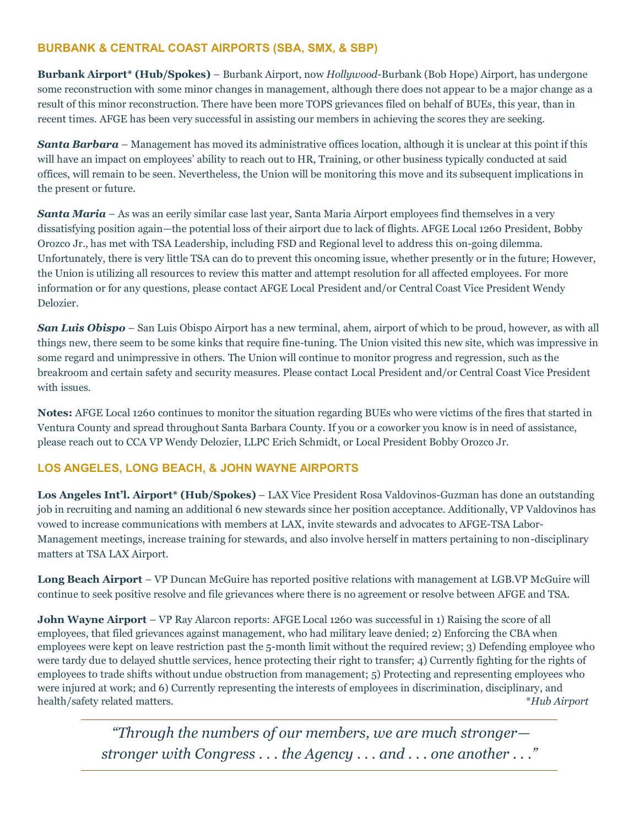## **BURBANK & CENTRAL COAST AIRPORTS (SBA, SMX, & SBP)**

**Burbank Airport\* (Hub/Spokes)** – Burbank Airport, now *Hollywood*-Burbank (Bob Hope) Airport, has undergone some reconstruction with some minor changes in management, although there does not appear to be a major change as a result of this minor reconstruction. There have been more TOPS grievances filed on behalf of BUEs, this year, than in recent times. AFGE has been very successful in assisting our members in achieving the scores they are seeking.

**Santa Barbara** – Management has moved its administrative offices location, although it is unclear at this point if this will have an impact on employees' ability to reach out to HR, Training, or other business typically conducted at said offices, will remain to be seen. Nevertheless, the Union will be monitoring this move and its subsequent implications in the present or future.

*Santa Maria* – As was an eerily similar case last year, Santa Maria Airport employees find themselves in a very dissatisfying position again—the potential loss of their airport due to lack of flights. AFGE Local 1260 President, Bobby Orozco Jr., has met with TSA Leadership, including FSD and Regional level to address this on-going dilemma. Unfortunately, there is very little TSA can do to prevent this oncoming issue, whether presently or in the future; However, the Union is utilizing all resources to review this matter and attempt resolution for all affected employees. For more information or for any questions, please contact AFGE Local President and/or Central Coast Vice President Wendy Delozier.

*San Luis Obispo* – San Luis Obispo Airport has a new terminal, ahem, airport of which to be proud, however, as with all things new, there seem to be some kinks that require fine-tuning. The Union visited this new site, which was impressive in some regard and unimpressive in others. The Union will continue to monitor progress and regression, such as the breakroom and certain safety and security measures. Please contact Local President and/or Central Coast Vice President with issues.

**Notes:** AFGE Local 1260 continues to monitor the situation regarding BUEs who were victims of the fires that started in Ventura County and spread throughout Santa Barbara County. If you or a coworker you know is in need of assistance, please reach out to CCA VP Wendy Delozier, LLPC Erich Schmidt, or Local President Bobby Orozco Jr.

## **LOS ANGELES, LONG BEACH, & JOHN WAYNE AIRPORTS**

**Los Angeles Int'l. Airport\* (Hub/Spokes)** – LAX Vice President Rosa Valdovinos-Guzman has done an outstanding job in recruiting and naming an additional 6 new stewards since her position acceptance. Additionally, VP Valdovinos has vowed to increase communications with members at LAX, invite stewards and advocates to AFGE-TSA Labor-Management meetings, increase training for stewards, and also involve herself in matters pertaining to non-disciplinary matters at TSA LAX Airport.

**Long Beach Airport** – VP Duncan McGuire has reported positive relations with management at LGB.VP McGuire will continue to seek positive resolve and file grievances where there is no agreement or resolve between AFGE and TSA.

**John Wayne Airport** – VP Ray Alarcon reports: AFGE Local 1260 was successful in 1) Raising the score of all employees, that filed grievances against management, who had military leave denied; 2) Enforcing the CBA when employees were kept on leave restriction past the 5-month limit without the required review; 3) Defending employee who were tardy due to delayed shuttle services, hence protecting their right to transfer; 4) Currently fighting for the rights of employees to trade shifts without undue obstruction from management; 5) Protecting and representing employees who were injured at work; and 6) Currently representing the interests of employees in discrimination, disciplinary, and health/safety related matters. \**Hub Airport*

> *"Through the numbers of our members, we are much stronger stronger with Congress . . . the Agency . . . and . . . one another . . ."*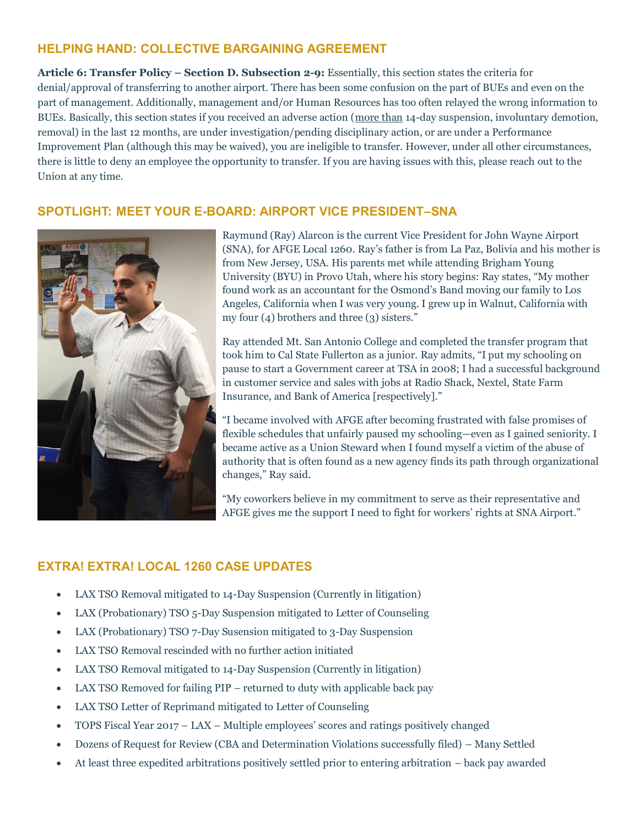## **HELPING HAND: COLLECTIVE BARGAINING AGREEMENT**

**Article 6: Transfer Policy – Section D. Subsection 2-9:** Essentially, this section states the criteria for denial/approval of transferring to another airport. There has been some confusion on the part of BUEs and even on the part of management. Additionally, management and/or Human Resources has too often relayed the wrong information to BUEs. Basically, this section states if you received an adverse action (more than 14-day suspension, involuntary demotion, removal) in the last 12 months, are under investigation/pending disciplinary action, or are under a Performance Improvement Plan (although this may be waived), you are ineligible to transfer. However, under all other circumstances, there is little to deny an employee the opportunity to transfer. If you are having issues with this, please reach out to the Union at any time.

## **SPOTLIGHT: MEET YOUR E-BOARD: AIRPORT VICE PRESIDENT–SNA**



Raymund (Ray) Alarcon is the current Vice President for John Wayne Airport (SNA), for AFGE Local 1260. Ray's father is from La Paz, Bolivia and his mother is from New Jersey, USA. His parents met while attending Brigham Young University (BYU) in Provo Utah, where his story begins: Ray states, "My mother found work as an accountant for the Osmond's Band moving our family to Los Angeles, California when I was very young. I grew up in Walnut, California with my four (4) brothers and three (3) sisters."

Ray attended Mt. San Antonio College and completed the transfer program that took him to Cal State Fullerton as a junior. Ray admits, "I put my schooling on pause to start a Government career at TSA in 2008; I had a successful background in customer service and sales with jobs at Radio Shack, Nextel, State Farm Insurance, and Bank of America [respectively]."

"I became involved with AFGE after becoming frustrated with false promises of flexible schedules that unfairly paused my schooling—even as I gained seniority. I became active as a Union Steward when I found myself a victim of the abuse of authority that is often found as a new agency finds its path through organizational changes," Ray said.

"My coworkers believe in my commitment to serve as their representative and AFGE gives me the support I need to fight for workers' rights at SNA Airport."

# **EXTRA! EXTRA! LOCAL 1260 CASE UPDATES**

- LAX TSO Removal mitigated to 14-Day Suspension (Currently in litigation)
- LAX (Probationary) TSO 5-Day Suspension mitigated to Letter of Counseling
- LAX (Probationary) TSO 7-Day Susension mitigated to 3-Day Suspension
- LAX TSO Removal rescinded with no further action initiated
- LAX TSO Removal mitigated to 14-Day Suspension (Currently in litigation)
- LAX TSO Removed for failing PIP returned to duty with applicable back pay
- LAX TSO Letter of Reprimand mitigated to Letter of Counseling
- TOPS Fiscal Year 2017 LAX Multiple employees' scores and ratings positively changed
- Dozens of Request for Review (CBA and Determination Violations successfully filed) Many Settled
- At least three expedited arbitrations positively settled prior to entering arbitration back pay awarded